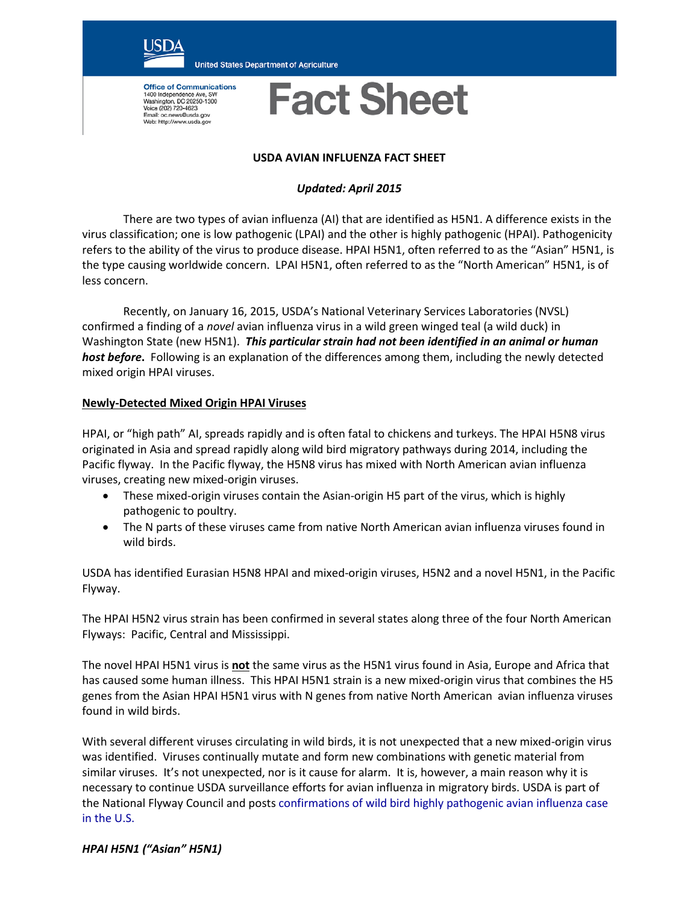

**United States Department of Agriculture** 

**Office of Communications** 1400 Independence Ave, SW<br>Washington, DC 20250-1300 Vessington, DC 20250-15<br>Voice (202) 720-4623<br>Email: oc.news@usda.gov<br>Web: http://www.usda.gov

# **Fact Sheet**

#### **USDA AVIAN INFLUENZA FACT SHEET**

## *Updated: April 2015*

There are two types of avian influenza (AI) that are identified as H5N1. A difference exists in the virus classification; one is low pathogenic (LPAI) and the other is highly pathogenic (HPAI). Pathogenicity refers to the ability of the virus to produce disease. HPAI H5N1, often referred to as the "Asian" H5N1, is the type causing worldwide concern. LPAI H5N1, often referred to as the "North American" H5N1, is of less concern.

Recently, on January 16, 2015, USDA's National Veterinary Services Laboratories (NVSL) confirmed a finding of a *novel* avian influenza virus in a wild green winged teal (a wild duck) in Washington State (new H5N1). *This particular strain had not been identified in an animal or human host before***.** Following is an explanation of the differences among them, including the newly detected mixed origin HPAI viruses.

#### **Newly-Detected Mixed Origin HPAI Viruses**

HPAI, or "high path" AI, spreads rapidly and is often fatal to chickens and turkeys. The HPAI H5N8 virus originated in Asia and spread rapidly along wild bird migratory pathways during 2014, including the Pacific flyway. In the Pacific flyway, the H5N8 virus has mixed with North American avian influenza viruses, creating new mixed-origin viruses.

- These mixed-origin viruses contain the Asian-origin H5 part of the virus, which is highly pathogenic to poultry.
- The N parts of these viruses came from native North American avian influenza viruses found in wild birds.

USDA has identified Eurasian H5N8 HPAI and mixed-origin viruses, H5N2 and a novel H5N1, in the Pacific Flyway.

The HPAI H5N2 virus strain has been confirmed in several states along three of the four North American Flyways: Pacific, Central and Mississippi.

The novel HPAI H5N1 virus is **not** the same virus as the H5N1 virus found in Asia, Europe and Africa that has caused some human illness. This HPAI H5N1 strain is a new mixed-origin virus that combines the H5 genes from the Asian HPAI H5N1 virus with N genes from native North American avian influenza viruses found in wild birds.

With several different viruses circulating in wild birds, it is not unexpected that a new mixed-origin virus was identified. Viruses continually mutate and form new combinations with genetic material from similar viruses. It's not unexpected, nor is it cause for alarm. It is, however, a main reason why it is necessary to continue USDA surveillance efforts for avian influenza in migratory birds. USDA is part of the National Flyway Council and posts [confirmations of wild bird highly pathogenic avian influenza case](http://www.aphis.usda.gov/wildlife_damage/downloads/WILD%20BIRD%20POSITIVE%20HIGHLY%20PATHOGENIC%20AVIAN%20INFLUENZA%20CASES%20IN%20THE%20UNITED%20STATES.pdf)  [in the U.S.](http://www.aphis.usda.gov/wildlife_damage/downloads/WILD%20BIRD%20POSITIVE%20HIGHLY%20PATHOGENIC%20AVIAN%20INFLUENZA%20CASES%20IN%20THE%20UNITED%20STATES.pdf)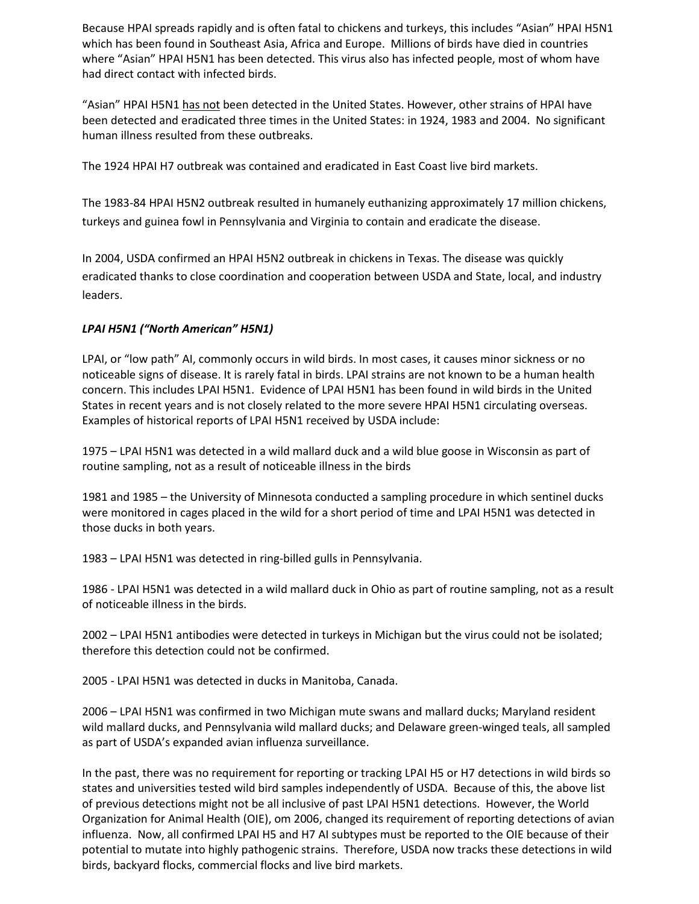Because HPAI spreads rapidly and is often fatal to chickens and turkeys, this includes "Asian" HPAI H5N1 which has been found in Southeast Asia, Africa and Europe. Millions of birds have died in countries where "Asian" HPAI H5N1 has been detected. This virus also has infected people, most of whom have had direct contact with infected birds.

"Asian" HPAI H5N1 has not been detected in the United States. However, other strains of HPAI have been detected and eradicated three times in the United States: in 1924, 1983 and 2004. No significant human illness resulted from these outbreaks.

The 1924 HPAI H7 outbreak was contained and eradicated in East Coast live bird markets.

The 1983-84 HPAI H5N2 outbreak resulted in humanely euthanizing approximately 17 million chickens, turkeys and guinea fowl in Pennsylvania and Virginia to contain and eradicate the disease.

In 2004, USDA confirmed an HPAI H5N2 outbreak in chickens in Texas. The disease was quickly eradicated thanks to close coordination and cooperation between USDA and State, local, and industry leaders.

### *LPAI H5N1 ("North American" H5N1)*

LPAI, or "low path" AI, commonly occurs in wild birds. In most cases, it causes minor sickness or no noticeable signs of disease. It is rarely fatal in birds. LPAI strains are not known to be a human health concern. This includes LPAI H5N1. Evidence of LPAI H5N1 has been found in wild birds in the United States in recent years and is not closely related to the more severe HPAI H5N1 circulating overseas. Examples of historical reports of LPAI H5N1 received by USDA include:

1975 – LPAI H5N1 was detected in a wild mallard duck and a wild blue goose in Wisconsin as part of routine sampling, not as a result of noticeable illness in the birds

1981 and 1985 – the University of Minnesota conducted a sampling procedure in which sentinel ducks were monitored in cages placed in the wild for a short period of time and LPAI H5N1 was detected in those ducks in both years.

1983 – LPAI H5N1 was detected in ring-billed gulls in Pennsylvania.

1986 - LPAI H5N1 was detected in a wild mallard duck in Ohio as part of routine sampling, not as a result of noticeable illness in the birds.

2002 – LPAI H5N1 antibodies were detected in turkeys in Michigan but the virus could not be isolated; therefore this detection could not be confirmed.

2005 - LPAI H5N1 was detected in ducks in Manitoba, Canada.

2006 – LPAI H5N1 was confirmed in two Michigan mute swans and mallard ducks; Maryland resident wild mallard ducks, and Pennsylvania wild mallard ducks; and Delaware green-winged teals, all sampled as part of USDA's expanded avian influenza surveillance.

In the past, there was no requirement for reporting or tracking LPAI H5 or H7 detections in wild birds so states and universities tested wild bird samples independently of USDA. Because of this, the above list of previous detections might not be all inclusive of past LPAI H5N1 detections. However, the World Organization for Animal Health (OIE), om 2006, changed its requirement of reporting detections of avian influenza. Now, all confirmed LPAI H5 and H7 AI subtypes must be reported to the OIE because of their potential to mutate into highly pathogenic strains. Therefore, USDA now tracks these detections in wild birds, backyard flocks, commercial flocks and live bird markets.